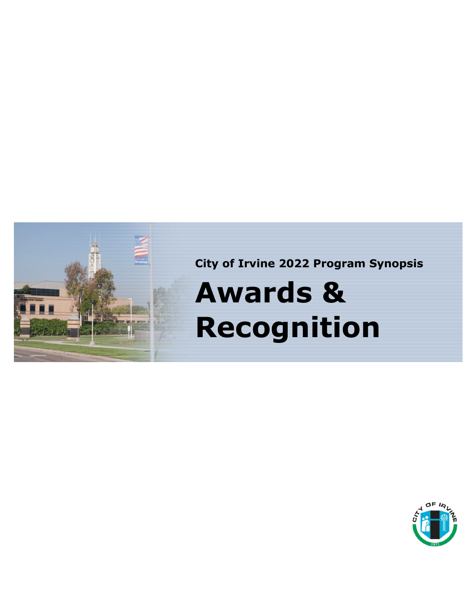

**City of Irvine 2022 Program Synopsis**

# **Awards & Recognition**

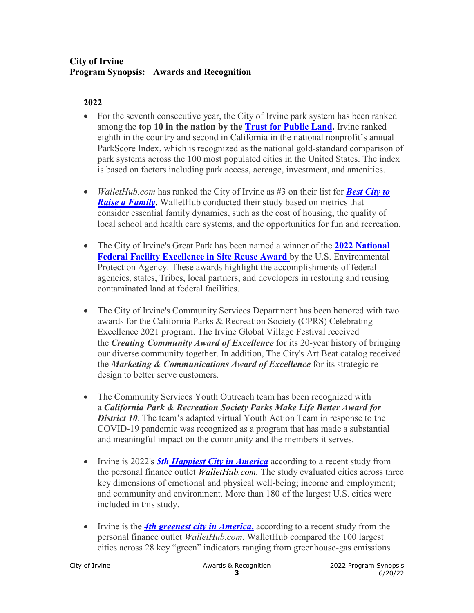#### **City of Irvine Program Synopsis: Awards and Recognition**

- For the seventh consecutive year, the City of Irvine park system has been ranked among the **top 10 in the nation by the [Trust for Public Land.](https://www.tpl.org/parkscore)** Irvine ranked eighth in the country and second in California in the national nonprofit's annual ParkScore Index, which is recognized as the national gold-standard comparison of park systems across the 100 most populated cities in the United States. The index is based on factors including park access, acreage, investment, and amenities.
- *WalletHub.com* has ranked the City of Irvine as #3 on their list for *[Best City to](https://wallethub.com/edu/best-cities-for-families/4435)  [Raise a Family](https://wallethub.com/edu/best-cities-for-families/4435)***.** WalletHub conducted their study based on metrics that consider essential family dynamics, such as the cost of housing, the quality of local school and health care systems, and the opportunities for fun and recreation.
- The City of Irvine's Great Park has been named a winner of the **2022 National [Federal Facility Excellence in Site Reuse Award](https://directsourcenews.org/2022/05/24/epa-announces-the-2022-national-federal-facility-excellence-in-site-reuse-awards-winners/)** by the U.S. Environmental Protection Agency. These awards highlight the accomplishments of federal agencies, states, Tribes, local partners, and developers in restoring and reusing contaminated land at federal facilities.
- The City of Irvine's Community Services Department has been honored with two awards for the California Parks & Recreation Society (CPRS) Celebrating Excellence 2021 program. The Irvine Global Village Festival received the *Creating Community Award of Excellence* for its 20-year history of bringing our diverse community together. In addition, The City's Art Beat catalog received the *Marketing & Communications Award of Excellence* for its strategic redesign to better serve customers.
- The Community Services Youth Outreach team has been recognized with a *California Park & Recreation Society Parks Make Life Better Award for District 10.* The team's adapted virtual Youth Action Team in response to the COVID-19 pandemic was recognized as a program that has made a substantial and meaningful impact on the community and the members it serves.
- Irvine is 2022's **[5th Happiest City in America](https://wallethub.com/edu/happiest-places-to-live/32619)** according to a recent study from the personal finance outlet *WalletHub.com.* The study evaluated cities across three key dimensions of emotional and physical well-being; income and employment; and community and environment. More than 180 of the largest U.S. cities were included in this study.
- Irvine is the **[4th greenest city in America](https://wallethub.com/edu/most-least-green-cities/16246)**, according to a recent study from the personal finance outlet *WalletHub.com*. WalletHub compared the 100 largest cities across 28 key "green" indicators ranging from greenhouse-gas emissions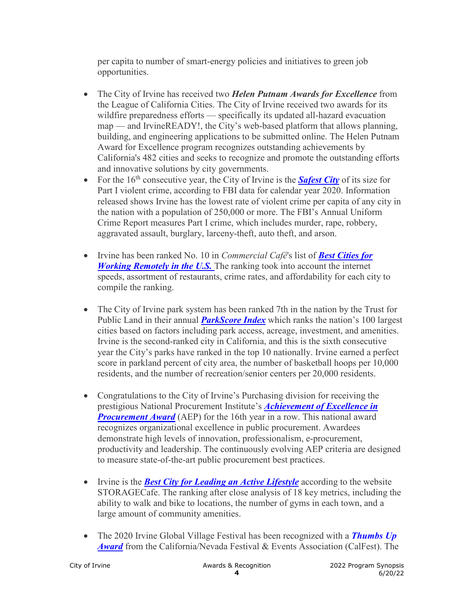per capita to number of smart-energy policies and initiatives to green job opportunities.

- The City of Irvine has received two *Helen Putnam Awards for Excellence* from the League of California Cities. The City of Irvine received two awards for its wildfire preparedness efforts — specifically its updated all-hazard evacuation map — and IrvineREADY!, the City's web-based platform that allows planning, building, and engineering applications to be submitted online. The Helen Putnam Award for Excellence program recognizes outstanding achievements by California's 482 cities and seeks to recognize and promote the outstanding efforts and innovative solutions by city governments.
- For the  $16<sup>th</sup>$  consecutive year, the City of Irvine is the **[Safest City](https://crime-data-explorer.app.cloud.gov/pages/home)** of its size for Part I violent crime, according to FBI data for calendar year 2020. Information released shows Irvine has the lowest rate of violent crime per capita of any city in the nation with a population of 250,000 or more. The FBI's Annual Uniform Crime Report measures Part I crime, which includes murder, rape, robbery, aggravated assault, burglary, larceny-theft, auto theft, and arson.
- Irvine has been ranked No. 10 in *Commercial Café*'s list of *[Best Cities for](https://www.commercialcafe.com/blog/best-cities-for-working-remotely/)  [Working Remotely in the U.S.](https://www.commercialcafe.com/blog/best-cities-for-working-remotely/)* The ranking took into account the internet speeds, assortment of restaurants, crime rates, and affordability for each city to compile the ranking.
- The City of Irvine park system has been ranked 7th in the nation by the Trust for Public Land in their annual *[ParkScore Index](https://www.tpl.org/parkscore)* which ranks the nation's 100 largest cities based on factors including park access, acreage, investment, and amenities. Irvine is the second-ranked city in California, and this is the sixth consecutive year the City's parks have ranked in the top 10 nationally. Irvine earned a perfect score in parkland percent of city area, the number of basketball hoops per 10,000 residents, and the number of recreation/senior centers per 20,000 residents.
- Congratulations to the City of Irvine's Purchasing division for receiving the prestigious National Procurement Institute's *[Achievement of Excellence in](https://www.npi-aep.org/aep-award-recipients)*  **[Procurement Award](https://www.npi-aep.org/aep-award-recipients)** (AEP) for the 16th year in a row. This national award recognizes organizational excellence in public procurement. Awardees demonstrate high levels of innovation, professionalism, e-procurement, productivity and leadership. The continuously evolving AEP criteria are designed to measure state-of-the-art public procurement best practices.
- Irvine is the *[Best City for Leading an Active Lifestyle](https://www.storagecafe.com/blog/best-cities-for-active-lifestyles/)* according to the website STORAGECafe. The ranking after close analysis of 18 key metrics, including the ability to walk and bike to locations, the number of gyms in each town, and a large amount of community amenities.
- The 2020 Irvine Global Village Festival has been recognized with a **[Thumbs Up](https://www.calfest.org/Thumbs-Up-Awards)** *[Award](https://www.calfest.org/Thumbs-Up-Awards)* from the California/Nevada Festival & Events Association (CalFest). The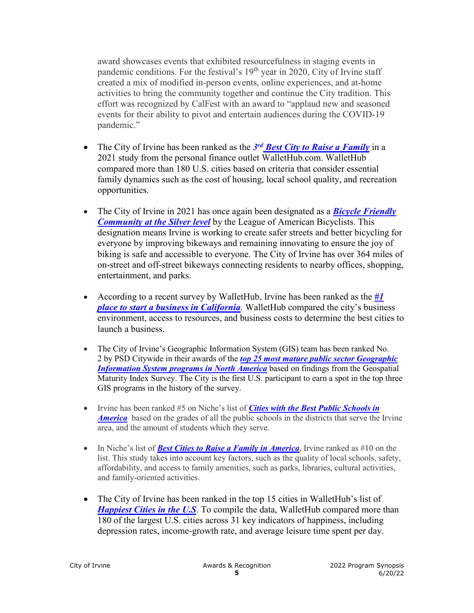award showcases events that exhibited resourcefulness in staging events in pandemic conditions. For the festival's  $19<sup>th</sup>$  year in 2020, City of Irvine staff created a mix of modified in-person events, online experiences, and at-home activities to bring the community together and continue the City tradition. This effort was recognized by CalFest with an award to "applaud new and seasoned events for their ability to pivot and entertain audiences during the COVID-19 pandemic."

- The City of Irvine has been ranked as the *3rd [Best City to Raise a Family](https://wallethub.com/edu/best-cities-for-families/4435)* in a 2021 study from the personal finance outlet WalletHub.com. WalletHub compared more than 180 U.S. cities based on criteria that consider essential family dynamics such as the cost of housing, local school quality, and recreation opportunities.
- The City of Irvine in 2021 has once again been designated as a *[Bicycle Friendly](https://bikeleague.org/sites/default/files/BFC_Spring_2021_ONLY.pdf)  [Community at the Silver level](https://bikeleague.org/sites/default/files/BFC_Spring_2021_ONLY.pdf)* by the League of American Bicyclists. This designation means Irvine is working to create safer streets and better bicycling for everyone by improving bikeways and remaining innovating to ensure the joy of biking is safe and accessible to everyone. The City of Irvine has over 364 miles of on-street and off-street bikeways connecting residents to nearby offices, shopping, entertainment, and parks.
- According to a recent survey by WalletHub, Irvine has been ranked as the *[#1](https://wallethub.com/edu/best-cities-to-start-a-business/2281)  [place to start a business in California](https://wallethub.com/edu/best-cities-to-start-a-business/2281)*. WalletHub compared the city's business environment, access to resources, and business costs to determine the best cities to launch a business.
- The City of Irvine's Geographic Information System (GIS) team has been ranked No. 2 by PSD Citywide in their awards of the *[top 25 most mature public sector Geographic](https://psdrcs.com/geospatial-maturity-index/)  [Information System programs in North America](https://psdrcs.com/geospatial-maturity-index/)* based on findings from the Geospatial Maturity Index Survey. The City is the first U.S. participant to earn a spot in the top three GIS programs in the history of the survey.
- Irvine has been ranked #5 on Niche's list of *[Cities with the Best Public Schools in](https://www.niche.com/places-to-live/irvine-orange-ca/)  [America](https://www.niche.com/places-to-live/irvine-orange-ca/)* based on the grades of all the public schools in the districts that serve the Irvine area, and the amount of students which they serve.
- In Niche's list of **[Best Cities to Raise a Family in America](https://www.niche.com/places-to-live/irvine-orange-ca/)**, Irvine ranked as #10 on the list. This study takes into account key factors, such as the quality of local schools, safety, affordability, and access to family amenities, such as parks, libraries, cultural activities, and family-oriented activities.
- The City of Irvine has been ranked in the top 15 cities in WalletHub's list of *[Happiest Cities in the U.S](https://wallethub.com/edu/happiest-places-to-live/32619).* To compile the data, WalletHub compared more than 180 of the largest U.S. cities across 31 key indicators of happiness, including depression rates, income-growth rate, and average leisure time spent per day.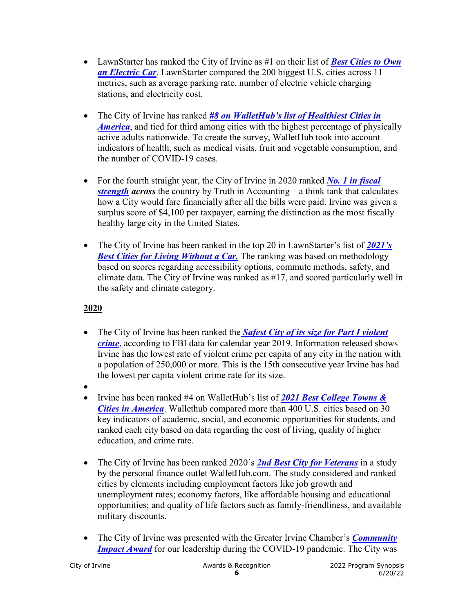- LawnStarter has ranked the City of Irvine as #1 on their list of *[Best Cities to Own](https://www.lawnstarter.com/blog/studies/best-cities-to-own-an-electric-car/)  [an Electric Car](https://www.lawnstarter.com/blog/studies/best-cities-to-own-an-electric-car/)*. LawnStarter compared the 200 biggest U.S. cities across 11 metrics, such as average parking rate, number of electric vehicle charging stations, and electricity cost.
- The City of Irvine has ranked *[#8 on WalletHub's list of Healthiest Cities in](https://wallethub.com/edu/healthiest-cities/31072)  [America](https://wallethub.com/edu/healthiest-cities/31072)*, and tied for third among cities with the highest percentage of physically active adults nationwide. To create the survey, WalletHub took into account indicators of health, such as medical visits, fruit and vegetable consumption, and the number of COVID-19 cases.
- For the fourth straight year, the City of Irvine in 2020 ranked *No. 1 in fiscal [strength](https://www.truthinaccounting.org/library/doclib/Financial-State-of-the-Cities-2021.pdf) across* the country by Truth in Accounting – a think tank that calculates how a City would fare financially after all the bills were paid. Irvine was given a surplus score of \$4,100 per taxpayer, earning the distinction as the most fiscally healthy large city in the United States.
- The City of Irvine has been ranked in the top 20 in LawnStarter's list of *[2021's](https://www.lawnstarter.com/blog/studies/best-cities-for-living-without-a-car/)  [Best Cities for Living Without a Car.](https://www.lawnstarter.com/blog/studies/best-cities-for-living-without-a-car/)* The ranking was based on methodology based on scores regarding accessibility options, commute methods, safety, and climate data. The City of Irvine was ranked as #17, and scored particularly well in the safety and climate category.

- The City of Irvine has been ranked the *[Safest City of its size for Part I violent](https://ucr.fbi.gov/crime-in-the-u.s/2019/crime-in-the-u.s.-2019)  [crime](https://ucr.fbi.gov/crime-in-the-u.s/2019/crime-in-the-u.s.-2019)*, according to FBI data for calendar year 2019. Information released shows Irvine has the lowest rate of violent crime per capita of any city in the nation with a population of 250,000 or more. This is the 15th consecutive year Irvine has had the lowest per capita violent crime rate for its size.
- •
- Irvine has been ranked #4 on WalletHub's list of *[2021 Best College Towns &](https://wallethub.com/edu/e/best-worst-college-cities-and-towns-in-america/8974)  [Cities in America](https://wallethub.com/edu/e/best-worst-college-cities-and-towns-in-america/8974)*. Wallethub compared more than 400 U.S. cities based on 30 key indicators of academic, social, and economic opportunities for students, and ranked each city based on data regarding the cost of living, quality of higher education, and crime rate.
- The City of Irvine has been ranked 2020's **[2nd Best City for Veterans](https://wallethub.com/edu/best-and-worst-cities-for-veterans/8156)** in a study by the personal finance outlet WalletHub.com. The study considered and ranked cities by elements including employment factors like job growth and unemployment rates; economy factors, like affordable housing and educational opportunities; and quality of life factors such as family-friendliness, and available military discounts.
- The City of Irvine was presented with the Greater Irvine Chamber's *Community [Impact Award](https://www.greaterirvinechamber.com/events/signature-events/celebrate-resilience-2020)* for our leadership during the COVID-19 pandemic. The City was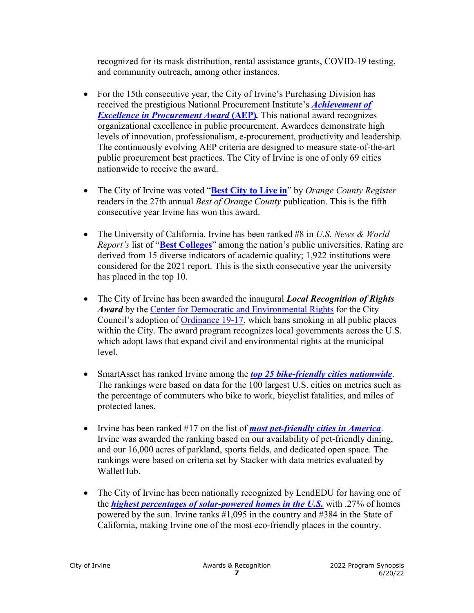recognized for its mask distribution, rental assistance grants, COVID-19 testing, and community outreach, among other instances.

- For the 15th consecutive year, the City of Irvine's Purchasing Division has received the prestigious National Procurement Institute's *[Achievement of](https://www.npiconnection.org/awards/aep.asp)  [Excellence in Procurement Award](https://www.npiconnection.org/awards/aep.asp)* **(AEP)***.* This national award recognizes organizational excellence in public procurement. Awardees demonstrate high levels of innovation, professionalism, e-procurement, productivity and leadership. The continuously evolving AEP criteria are designed to measure state-of-the-art public procurement best practices. The City of Irvine is one of only 69 cities nationwide to receive the award.
- The City of Irvine was voted "**[Best City to Live in](https://www.ocregister.com/2020/09/25/best-of-orange-county-2020-best-city-to-live-in/)**" by *Orange County Register* readers in the 27th annual *Best of Orange County* publication. This is the fifth consecutive year Irvine has won this award.
- The University of California, Irvine has been ranked #8 in *U.S. News & World Report's* list of "**[Best Colleges](https://www.usnews.com/best-colleges/rankings/national-universities/top-public)**" among the nation's public universities. Rating are derived from 15 diverse indicators of academic quality; 1,922 institutions were considered for the 2021 report. This is the sixth consecutive year the university has placed in the top 10.
- The City of Irvine has been awarded the inaugural *Local Recognition of Rights Award* by the [Center for Democratic and Environmental Rights](https://www.centerforenvironmentalrights.org/) for the City Council's adoption of [Ordinance 19-17,](https://library.municode.com/ca/irvine/ordinances/code_of_ordinances?nodeId=991462) which bans smoking in all public places within the City. The award program recognizes local governments across the U.S. which adopt laws that expand civil and environmental rights at the municipal level.
- SmartAsset has ranked Irvine among the *[top 25 bike-friendly cities nationwide](https://smartasset.com/checking-account/most-bike-friendly-cities-2020)*. The rankings were based on data for the 100 largest U.S. cities on metrics such as the percentage of commuters who bike to work, bicyclist fatalities, and miles of protected lanes.
- Irvine has been ranked #17 on the list of *[most pet-friendly cities in America](https://www.theweeklyjournal.com/lifestyle/most-pet-friendly-cities-in-america/collection_fc3c9dd0-0976-5b24-9ec6-629d6dbf02c5.html#1)*. Irvine was awarded the ranking based on our availability of pet-friendly dining, and our 16,000 acres of parkland, sports fields, and dedicated open space. The rankings were based on criteria set by Stacker with data metrics evaluated by WalletHub.
- The City of Irvine has been nationally recognized by LendEDU for having one of the *[highest percentages of solar-powered homes in the U.S.](https://lendedu.com/blog/cities-highest-proportion-ecofriendly-homes/)* with .27% of homes powered by the sun. Irvine ranks #1,095 in the country and #384 in the State of California, making Irvine one of the most eco-friendly places in the country.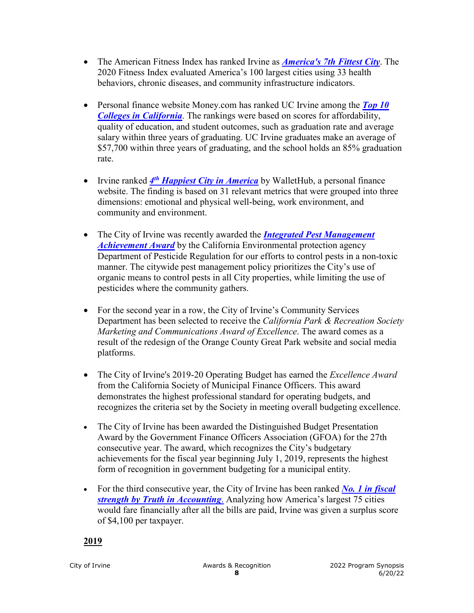- The American Fitness Index has ranked Irvine as *[America's 7th Fittest City](https://americanfitnessindex.org/wp-content/uploads/2020/07/2020-American-Fitness-Index-Summary-Report.pdf)*. The 2020 Fitness Index evaluated America's 100 largest cities using 33 health behaviors, chronic diseases, and community infrastructure indicators.
- Personal finance website Money.com has ranked UC Irvine among the *[Top 10](https://money.com/best-colleges-in-california/)  [Colleges in California](https://money.com/best-colleges-in-california/)*. The rankings were based on scores for affordability, quality of education, and student outcomes, such as graduation rate and average salary within three years of graduating. UC Irvine graduates make an average of \$57,700 within three years of graduating, and the school holds an 85% graduation rate.
- Irvine ranked 4<sup>th</sup> *[Happiest City in America](https://wallethub.com/edu/happiest-places-to-live/32619/)* by WalletHub, a personal finance website. The finding is based on 31 relevant metrics that were grouped into three dimensions: emotional and physical well-being, work environment, and community and environment.
- The City of Irvine was recently awarded the *[Integrated Pest Management](https://www.cdpr.ca.gov/docs/pressrls/2020/021820.htm)  [Achievement Award](https://www.cdpr.ca.gov/docs/pressrls/2020/021820.htm)* by the California Environmental protection agency Department of Pesticide Regulation for our efforts to control pests in a non-toxic manner. The citywide pest management policy prioritizes the City's use of organic means to control pests in all City properties, while limiting the use of pesticides where the community gathers.
- For the second year in a row, the City of Irvine's Community Services Department has been selected to receive the *California Park & Recreation Society Marketing and Communications Award of Excellence*. The award comes as a result of the redesign of the Orange County Great Park website and social media platforms.
- The City of Irvine's 2019-20 Operating Budget has earned the *Excellence Award* from the California Society of Municipal Finance Officers. This award demonstrates the highest professional standard for operating budgets, and recognizes the criteria set by the Society in meeting overall budgeting excellence.
- The City of Irvine has been awarded the Distinguished Budget Presentation Award by the Government Finance Officers Association (GFOA) for the 27th consecutive year. The award, which recognizes the City's budgetary achievements for the fiscal year beginning July 1, 2019, represents the highest form of recognition in government budgeting for a municipal entity.
- For the third consecutive year, the City of Irvine has been ranked *[No. 1 in fiscal](https://www.data-z.org/state_data_and_comparisons/city/irvine)  [strength by Truth in Accounting](https://www.data-z.org/state_data_and_comparisons/city/irvine)*. Analyzing how America's largest 75 cities would fare financially after all the bills are paid, Irvine was given a surplus score of \$4,100 per taxpayer.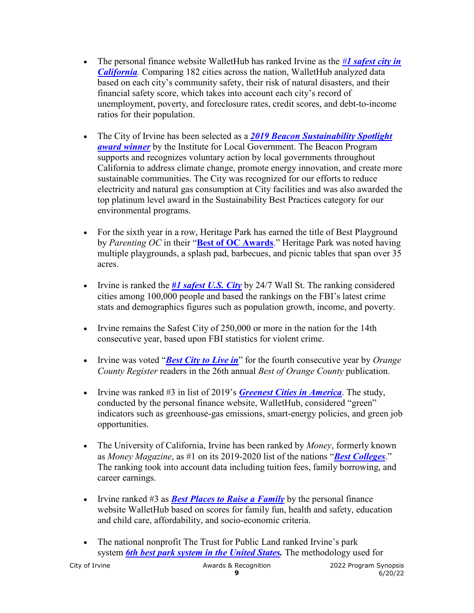- The personal finance website WalletHub has ranked Irvine as the *#[1 safest city in](https://wallethub.com/edu/safest-cities-in-america/41926/)  [California](https://wallethub.com/edu/safest-cities-in-america/41926/).* Comparing 182 cities across the nation, WalletHub analyzed data based on each city's community safety, their risk of natural disasters, and their financial safety score, which takes into account each city's record of unemployment, poverty, and foreclosure rates, credit scores, and debt-to-income ratios for their population.
- The City of Irvine has been selected as a *[2019 Beacon Sustainability Spotlight](https://www.ca-ilg.org/award-winners)  [award winner](https://www.ca-ilg.org/award-winners)* by the Institute for Local Government. The Beacon Program supports and recognizes voluntary action by local governments throughout California to address climate change, promote energy innovation, and create more sustainable communities. The City was recognized for our efforts to reduce electricity and natural gas consumption at City facilities and was also awarded the top platinum level award in the Sustainability Best Practices category for our environmental programs.
- For the sixth year in a row, Heritage Park has earned the title of Best Playground by *Parenting OC* in their "**[Best of OC Awards](https://parentingoc.com/2019/09/best-of-oc-awards-2019-kids-play/)**." Heritage Park was noted having multiple playgrounds, a splash pad, barbecues, and picnic tables that span over 35 acres.
- Irvine is ranked the *[#1 safest U.S. City](https://247wallst.com/special-report/2019/10/23/americas-safest-cities-3/11/)* by 24/7 Wall St. The ranking considered cities among 100,000 people and based the rankings on the FBI's latest crime stats and demographics figures such as population growth, income, and poverty.
- Irvine remains the Safest City of 250,000 or more in the nation for the 14th consecutive year, based upon FBI statistics for violent crime.
- Irvine was voted "*[Best City to Live in](https://www.ocregister.com/2019/09/19/best-of-orange-county-2019-best-city-to-live-in/)*" for the fourth consecutive year by *Orange County Register* readers in the 26th annual *Best of Orange County* publication.
- Irvine was ranked #3 in list of 2019's *[Greenest Cities in America](https://wallethub.com/edu/most-least-green-cities/16246/)*. The study, conducted by the personal finance website, WalletHub, considered "green" indicators such as greenhouse-gas emissions, smart-energy policies, and green job opportunities.
- The University of California, Irvine has been ranked by *Money*, formerly known as *Money Magazine*, as #1 on its 2019-2020 list of the nations "*[Best Colleges](http://money.com/money/best-colleges/)*." The ranking took into account data including tuition fees, family borrowing, and career earnings.
- Irvine ranked #3 as *[Best Places to Raise a Family](https://wallethub.com/edu/best-cities-for-families/4435/)* by the personal finance website WalletHub based on scores for family fun, health and safety, education and child care, affordability, and socio-economic criteria.
- The national nonprofit The Trust for Public Land ranked Irvine's park system *[6th best park system in the United States.](https://www.tpl.org/city/irvine-california)* The methodology used for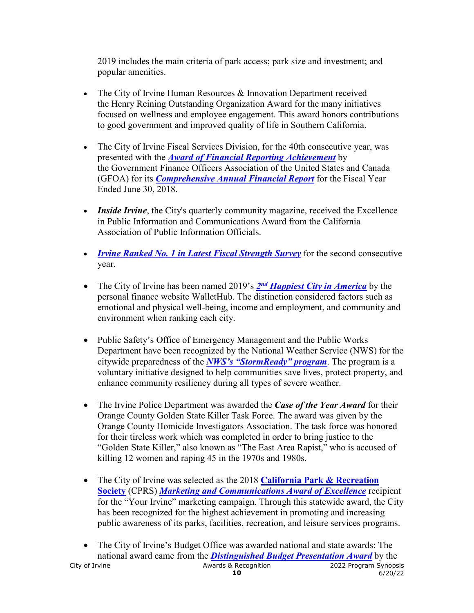2019 includes the main criteria of park access; park size and investment; and popular amenities.

- The City of Irvine Human Resources & Innovation Department received the Henry Reining Outstanding Organization Award for the many initiatives focused on wellness and employee engagement. This award honors contributions to good government and improved quality of life in Southern California.
- The City of Irvine Fiscal Services Division, for the 40th consecutive year, was presented with the *[Award of Financial Reporting Achievement](http://legacy.cityofirvine.org/civica/filebank/blobdload.asp?BlobID=31700)* by the Government Finance Officers Association of the United States and Canada (GFOA) for its *[Comprehensive Annual Financial Report](http://legacy.cityofirvine.org/civica/filebank/blobdload.asp?BlobID=31699)* for the Fiscal Year Ended June 30, 2018.
- *Inside Irvine*, the City's quarterly community magazine, received the Excellence in Public Information and Communications Award from the California Association of Public Information Officials.
- *[Irvine Ranked No. 1 in Latest Fiscal Strength Survey](https://www.cityofirvine.org/node/52876)* for the second consecutive year.
- The City of Irvine has been named 2019's **2<sup>nd</sup> [Happiest City in America](https://wallethub.com/edu/happiest-places-to-live/32619/)** by the personal finance website WalletHub. The distinction considered factors such as emotional and physical well-being, income and employment, and community and environment when ranking each city.
- Public Safety's Office of Emergency Management and the Public Works Department have been recognized by the National Weather Service (NWS) for the citywide preparedness of the *[NWS's "StormReady" program](http://webadmin.cityofirvine.org/civica/filebank/blobdload.asp?BlobID=31210)*. The program is a voluntary initiative designed to help communities save lives, protect property, and enhance community resiliency during all types of severe weather.
- The Irvine Police Department was awarded the *Case of the Year Award* for their Orange County Golden State Killer Task Force. The award was given by the Orange County Homicide Investigators Association. The task force was honored for their tireless work which was completed in order to bring justice to the "Golden State Killer," also known as "The East Area Rapist," who is accused of killing 12 women and raping 45 in the 1970s and 1980s.
- The City of Irvine was selected as the 2018 **[California Park & Recreation](http://www.cprs.org/p/cm/ld/&fid=7)  [Society](http://www.cprs.org/p/cm/ld/&fid=7)** (CPRS) *[Marketing and Communications Award of Excellence](http://www.cprs.org/page/marketing-&-communications)* recipient for the "Your Irvine" marketing campaign. Through this statewide award, the City has been recognized for the highest achievement in promoting and increasing public awareness of its parks, facilities, recreation, and leisure services programs.
- City of Irvine **Awards & Recognition** 2022 Program Synopsis<br>6/20/22 Program 6/20/22 **10** 6/20/22 • The City of Irvine's Budget Office was awarded national and state awards: The national award came from the *[Distinguished Budget Presentation Award](https://www.cityofirvine.org/news-media/news-article/city%E2%80%99s-budget-presentation-wins-national-award)* by the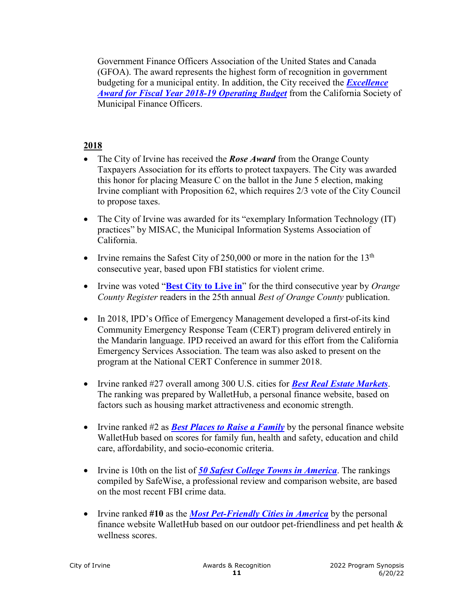Government Finance Officers Association of the United States and Canada (GFOA). The award represents the highest form of recognition in government budgeting for a municipal entity. In addition, the City received the *[Excellence](http://legacy.cityofirvine.org/civica/filebank/blobdload.asp?BlobID=31101)  [Award for Fiscal Year 2018-19 Operating Budget](http://legacy.cityofirvine.org/civica/filebank/blobdload.asp?BlobID=31101)* from the California Society of Municipal Finance Officers.

- The City of Irvine has received the **Rose Award** from the Orange County Taxpayers Association for its efforts to protect taxpayers. The City was awarded this honor for placing Measure C on the ballot in the June 5 election, making Irvine compliant with Proposition 62, which requires 2/3 vote of the City Council to propose taxes.
- The City of Irvine was awarded for its "exemplary Information Technology (IT) practices" by MISAC, the Municipal Information Systems Association of California.
- Irvine remains the Safest City of 250,000 or more in the nation for the  $13<sup>th</sup>$ consecutive year, based upon FBI statistics for violent crime.
- Irvine was voted "**[Best City to Live in](https://www.ocregister.com/2018/09/20/best-of-orange-county-2018-best-city-to-live-in/)**" for the third consecutive year by *Orange County Register* readers in the 25th annual *Best of Orange County* publication.
- In 2018, IPD's Office of Emergency Management developed a first-of-its kind Community Emergency Response Team (CERT) program delivered entirely in the Mandarin language. IPD received an award for this effort from the California Emergency Services Association. The team was also asked to present on the program at the National CERT Conference in summer 2018.
- Irvine ranked #27 overall among 300 U.S. cities for *[Best Real Estate Markets](https://wallethub.com/edu/best-real-estate-markets/14889/)*. The ranking was prepared by WalletHub, a personal finance website, based on factors such as housing market attractiveness and economic strength.
- Irvine ranked #2 as *[Best Places to Raise a Family](https://wallethub.com/edu/best-cities-for-families/4435/#methodology)* by the personal finance website WalletHub based on scores for family fun, health and safety, education and child care, affordability, and socio-economic criteria.
- Irvine is 10th on the list of *[50 Safest College Towns in America](https://www.safewise.com/blog/safest-college-towns-america/)*. The rankings compiled by SafeWise, a professional review and comparison website, are based on the most recent FBI crime data.
- Irvine ranked **#10** as the *[Most Pet-Friendly Cities in America](https://wallethub.com/edu/most-pet-friendly-cities/5562/#methodology)* by the personal finance website WalletHub based on our outdoor pet-friendliness and pet health & wellness scores.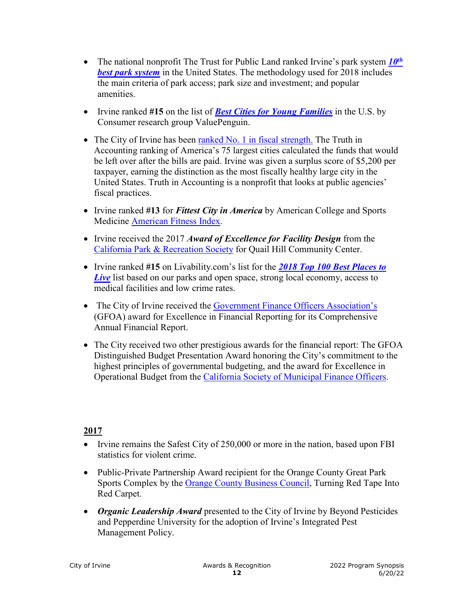- The national nonprofit The Trust for Public Land ranked Irvine's park system  $10^{th}$ *[best park system](https://www.tpl.org/node/104166/#sm.00001av1re1cs0fl1x73z77451qpq)* in the United States. The methodology used for 2018 includes the main criteria of park access; park size and investment; and popular amenities.
- Irvine ranked **#15** on the list of *[Best Cities for Young Families](https://www.valuepenguin.com/best-cities-young-families-buying-homes#nogo)* in the U.S. by Consumer research group ValuePenguin.
- The City of Irvine has been [ranked No. 1 in fiscal strength.](https://www.statedatalab.org/library/doclib/2016-Financial-State-of-the-Cities-Booklet-FINAL-.pdf) The Truth in Accounting ranking of America's 75 largest cities calculated the funds that would be left over after the bills are paid. Irvine was given a surplus score of \$5,200 per taxpayer, earning the distinction as the most fiscally healthy large city in the United States. Truth in Accounting is a nonprofit that looks at public agencies' fiscal practices.
- Irvine ranked **#13** for *Fittest City in America* by American College and Sports Medicine [American Fitness Index.](http://www.americanfitnessindex.org/wp-content/uploads/2018/05/2018-American-Fitness-Index-Summary-Report_FINAL-20180504.pdf)
- Irvine received the 2017 *Award of Excellence for Facility Design* from the [California Park & Recreation Society](http://www.cprs.org/p/cm/ld/fid=1) for Quail Hill Community Center.
- Irvine ranked **#15** on Livability.com's list for the *[2018 Top 100 Best Places to](https://livability.com/best-places/top-100-best-places-to-live/2018/ca/irvine)  [Live](https://livability.com/best-places/top-100-best-places-to-live/2018/ca/irvine)* list based on our parks and open space, strong local economy, access to medical facilities and low crime rates.
- The City of Irvine received the [Government Finance Officers Association's](http://www.gfoa.org/) (GFOA) award for Excellence in Financial Reporting for its Comprehensive Annual Financial Report.
- The City received two other prestigious awards for the financial report: The GFOA Distinguished Budget Presentation Award honoring the City's commitment to the highest principles of governmental budgeting, and the award for Excellence in Operational Budget from the [California Society of Municipal Finance Officers.](http://www.csmfo.org/)

- Irvine remains the Safest City of 250,000 or more in the nation, based upon FBI statistics for violent crime.
- Public-Private Partnership Award recipient for the Orange County Great Park Sports Complex by the [Orange County Business Council,](https://www.ocbc.org/ocbc-initiatives/innovation/redcarpet/) Turning Red Tape Into Red Carpet.
- *Organic Leadership Award* presented to the City of Irvine by Beyond Pesticides and Pepperdine University for the adoption of Irvine's Integrated Pest Management Policy.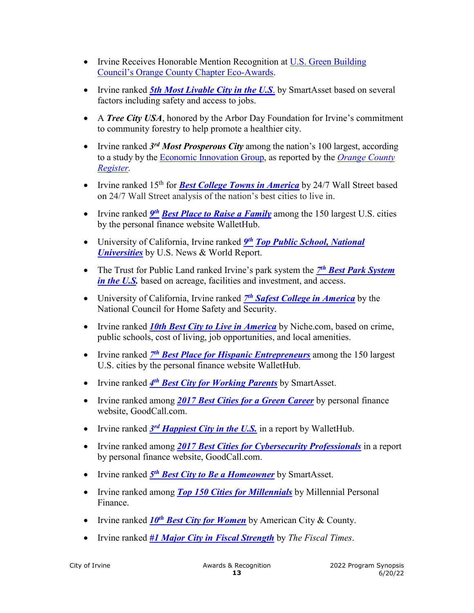- Irvine Receives Honorable Mention Recognition at U.S. Green Building [Council's Orange County Chapter Eco-Awards.](https://www.usgbc.org/event/usgbc-orange-county-2017-eco-awards)
- Irvine ranked *5th [Most Livable City in the U.S](https://smartasset.com/mortgage/the-most-livable-cities-in-the-u-s-2017-edition#q=most%20livable%20city)*. by SmartAsset based on several factors including safety and access to jobs.
- A *Tree City USA*, honored by the Arbor Day Foundation for Irvine's commitment to community forestry to help promote a healthier city.
- Irvine ranked 3<sup>rd</sup> Most Prosperous City among the nation's 100 largest, according to a study by the Economic [Innovation](http://eig.org/news/study-economic-growth-spread-unevenly-among-cities) Group, as reported by the *[Orange County](http://www.ocregister.com/2017/09/26/study-irvine-is-nations-3rd-most-prosperous-large-city-while-hemet-ranks-8th-most-distressed-small-town/)  [Register.](http://www.ocregister.com/2017/09/26/study-irvine-is-nations-3rd-most-prosperous-large-city-while-hemet-ranks-8th-most-distressed-small-town/)*
- Irvine ranked 15<sup>th</sup> for *[Best College Towns](http://247wallst.com/special-report/2017/09/11/25-best-college-towns-in-america/4/) in America* by 24/7 Wall Street based on 24/7 Wall Street analysis of the nation's best cities to live in.
- Irvine ranked *9<sup>th</sup> [Best Place to Raise a Family](https://wallethub.com/edu/best-cities-for-families/4435/)* among the 150 largest U.S. cities by the personal finance website WalletHub.
- University of California, Irvine ranked *[9th](https://www.usnews.com/best-colleges/rankings/national-universities/top-public) [Top Public School, National](https://www.usnews.com/best-colleges/rankings/national-universities/top-public)  [Universities](https://www.usnews.com/best-colleges/rankings/national-universities/top-public)* by U.S. News & World Report.
- The Trust for Public Land ranked Irvine's park system the *7th [Best Park System](http://parkscore.tpl.org/rankings.php#sm.0001dhiq6gj32cnxr3024759hvbu3)  [in the U.S.](http://parkscore.tpl.org/rankings.php#sm.0001dhiq6gj32cnxr3024759hvbu3)* based on acreage, facilities and investment, and access.
- University of California, Irvine ranked *7th [Safest College in America](https://www.alarms.org/safest-colleges-2017/)* by the National Council for Home Safety and Security.
- Irvine ranked *[10th Best City to Live in America](https://www.niche.com/places-to-live/rankings/cities/best-cities/)* by Niche.com, based on crime, public schools, cost of living, job opportunities, and local amenities.
- Irvine ranked *7th [Best Place for Hispanic Entrepreneurs](https://wallethub.com/edu/best-and-worst-cities-for-hispanic-entrepreneurs/6491/)* among the 150 largest U.S. cities by the personal finance website WalletHub.
- Irvine ranked *[4th Best City for Working Parents](https://smartasset.com/mortgage/best-cities-working-parents-2017)* by SmartAsset.
- Irvine ranked among *[2017 Best Cities for a Green Career](https://www.goodcall.com/data-center/2017-best-cities-green-career/)* by personal finance website, GoodCall.com.
- Irvine ranked 3<sup>rd</sup> *[Happiest City in the U.S.](https://wallethub.com/edu/happiest-places-to-live/32619/)* in a report by WalletHub.
- Irvine ranked among *[2017 Best Cities for Cybersecurity Professionals](https://www.goodcall.com/data-center/2017-best-cities-cybersecurity-professionals/)* in a report by personal finance website, GoodCall.com.
- Irvine ranked *5th [Best City to Be a Homeowner](https://smartasset.com/mortgage/the-best-cities-to-be-a-homeowner)* by SmartAsset.
- Irvine ranked among *[Top 150 Cities for Millennials](http://www.millennialpersonalfinance.com/best-cities-millennials/)* by Millennial Personal Finance.
- Irvine ranked *10<sup>th</sup> [Best City for Women](http://americancityandcounty.com/public-safety/25-best-cities-women#slide-0-field_images-73291)* by American City & County.
- Irvine ranked *[#1 Major City in Fiscal Strength](http://www.thefiscaltimes.com/2017/01/09/How-Strong-Are-Your-Citys-Finances-116-US-Cities-Ranked)* by *The Fiscal Times*.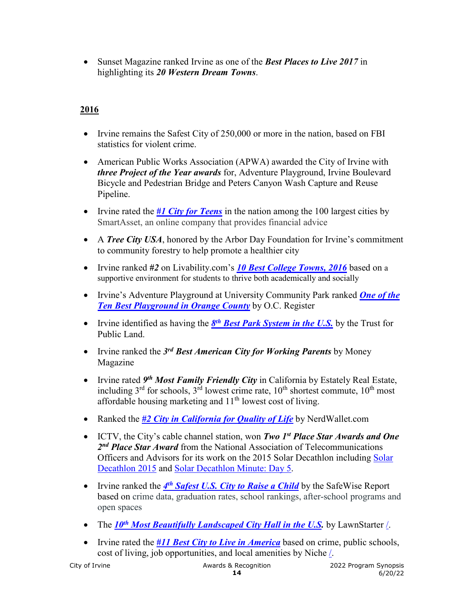• Sunset Magazine ranked Irvine as one of the *Best Places to Live 2017* in highlighting its *20 Western Dream Towns*.

- Irvine remains the Safest City of 250,000 or more in the nation, based on FBI statistics for violent crime.
- American Public Works Association (APWA) awarded the City of Irvine with *three Project of the Year awards* for, Adventure Playground, Irvine Boulevard Bicycle and Pedestrian Bridge and Peters Canyon Wash Capture and Reuse Pipeline.
- Irvine rated the *[#1 City for Teens](https://smartasset.com/mortgage/the-best-cities-for-teens)* in the nation among the 100 largest cities by SmartAsset, an online company that provides financial advice
- A *Tree City USA*, honored by the Arbor Day Foundation for Irvine's commitment to community forestry to help promote a healthier city
- Irvine ranked *#2* on Livability.com's *[10 Best College Towns, 2016](http://www.livability.com/top-10/college/10-best-college-towns/2016/ca/irvine)* based on a supportive environment for students to thrive both academically and socially
- Irvine's Adventure Playground at University Community Park ranked *[One of the](https://www.ocregister.com/2016/07/13/orange-countys-10-best-playgrounds-plus-7-to-avoid/)  [Ten Best Playground in Orange County](https://www.ocregister.com/2016/07/13/orange-countys-10-best-playgrounds-plus-7-to-avoid/)* by O.C. Register
- Irvine identified as having the *8th [Best Park System in the U.S.](https://nextcity.org/daily/entry/best-city-parks-in-us-trust-for-public-land-ranking-2016)* by the Trust for Public Land.
- Irvine ranked the *3rd Best American City for Working Parents* by Money Magazine
- Irvine rated *9th Most Family Friendly City* in California by Estately Real Estate, including  $3<sup>rd</sup>$  for schools,  $3<sup>rd</sup>$  lowest crime rate,  $10<sup>th</sup>$  shortest commute,  $10<sup>th</sup>$  most affordable housing marketing and 11<sup>th</sup> lowest cost of living.
- Ranked the *[#2 City in California for Quality of Life](https://www.nerdwallet.com/blog/mortgages/best-cities-quality-of-life-full-ranking/)* by NerdWallet.com
- ICTV, the City's cable channel station, won *Two 1st Place Star Awards and One 2nd Place Star Award* from the National Association of Telecommunications Officers and Advisors for its work on the 2015 Solar Decathlon including [Solar](https://youtu.be/VPpmNa4tccU?list=PL3PtwVD12EJlFbqx5ls_a4hYT4NOlGaqY)  [Decathlon 2015](https://youtu.be/VPpmNa4tccU?list=PL3PtwVD12EJlFbqx5ls_a4hYT4NOlGaqY) and [Solar Decathlon Minute: Day 5.](https://youtu.be/3O-Frt7bbSM?list=PL3PtwVD12EJlFbqx5ls_a4hYT4NOlGaqY;%20www.cityofirvine.org/ictv)
- Irvine ranked the 4<sup>th</sup> Safest U.S. City to Raise a Child by the SafeWise Report based on crime data, graduation rates, school rankings, after-school programs and open spaces
- The *10<sup>th</sup> Most Beautifully Landscaped City Hall in the U.S.* by LawnStarter [/.](https://www.lawnstarter.com/blog/city-rankings/best-landscaped-city-halls/)
- Irvine rated the *[#11 Best City to Live in America](https://local.niche.com/rankings/cities/best-cities)* based on crime, public schools, cost of living, job opportunities, and local amenities by Niche [/.](https://local.niche.com/rankings/cities/best-cities/)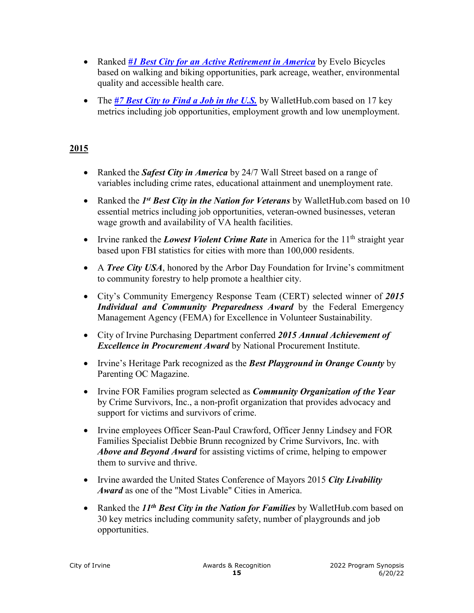- Ranked *[#1 Best City for an Active Retirement in America](http://www.evelo.com/blog/best-active-retirement-cities/)* by Evelo Bicycles based on walking and biking opportunities, park acreage, weather, environmental quality and accessible health care.
- The *[#7 Best City to Find a Job in the U.S.](https://wallethub.com/edu/best-cities-for-jobs/2173/#main-findings)* by WalletHub.com based on 17 key metrics including job opportunities, employment growth and low unemployment.

- Ranked the *Safest City in America* by 24/7 Wall Street based on a range of variables including crime rates, educational attainment and unemployment rate.
- Ranked the *1<sup>st</sup> Best City in the Nation for Veterans* by WalletHub.com based on 10 essential metrics including job opportunities, veteran-owned businesses, veteran wage growth and availability of VA health facilities.
- Irvine ranked the *Lowest Violent Crime Rate* in America for the 11<sup>th</sup> straight year based upon FBI statistics for cities with more than 100,000 residents.
- A *Tree City USA*, honored by the Arbor Day Foundation for Irvine's commitment to community forestry to help promote a healthier city.
- City's Community Emergency Response Team (CERT) selected winner of *2015 Individual and Community Preparedness Award* by the Federal Emergency Management Agency (FEMA) for Excellence in Volunteer Sustainability.
- City of Irvine Purchasing Department conferred *2015 Annual Achievement of Excellence in Procurement Award* by National Procurement Institute.
- Irvine's Heritage Park recognized as the *Best Playground in Orange County* by Parenting OC Magazine.
- Irvine FOR Families program selected as *Community Organization of the Year* by Crime Survivors, Inc., a non-profit organization that provides advocacy and support for victims and survivors of crime.
- Irvine employees Officer Sean-Paul Crawford, Officer Jenny Lindsey and FOR Families Specialist Debbie Brunn recognized by Crime Survivors, Inc. with *Above and Beyond Award* for assisting victims of crime, helping to empower them to survive and thrive.
- Irvine awarded the United States Conference of Mayors 2015 *City Livability Award* as one of the "Most Livable" Cities in America.
- Ranked the *11th Best City in the Nation for Families* by WalletHub.com based on 30 key metrics including community safety, number of playgrounds and job opportunities.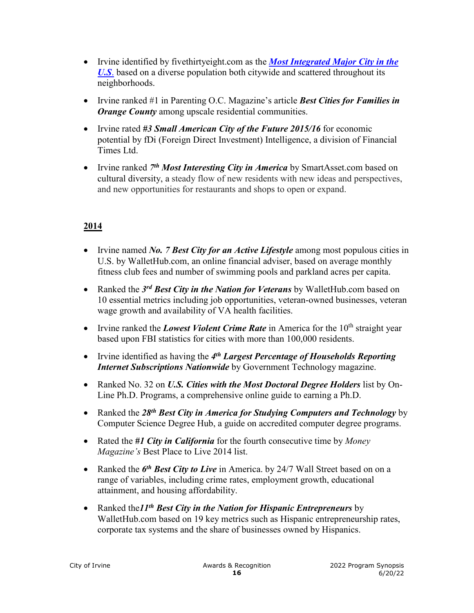- Irvine identified by [fivethirtyeight.com](http://fivethirtyeight.com/) as the *[Most Integrated Major City in the](http://www.allgov.com/news/controversies/chicago-most-segregated-city-in-us-irvine-california-the-least-150509?news=856439)  [U.S](http://www.allgov.com/news/controversies/chicago-most-segregated-city-in-us-irvine-california-the-least-150509?news=856439)*. based on a diverse population both citywide and scattered throughout its neighborhoods.
- Irvine ranked #1 in Parenting O.C. Magazine's article *Best Cities for Families in Orange County* among upscale residential communities.
- Irvine rated *#3 Small American City of the Future 2015/16* for economic potential by fDi (Foreign Direct Investment) Intelligence, a division of Financial Times Ltd.
- Irvine ranked *7th Most Interesting City in America* by SmartAsset.com based on cultural diversity, a steady flow of new residents with new ideas and perspectives, and new opportunities for restaurants and shops to open or expand.

- Irvine named *No. 7 Best City for an Active Lifestyle* among most populous cities in U.S. by WalletHub.com, an online financial adviser, based on average monthly fitness club fees and number of swimming pools and parkland acres per capita.
- Ranked the *3rd Best City in the Nation for Veterans* by WalletHub.com based on 10 essential metrics including job opportunities, veteran-owned businesses, veteran wage growth and availability of VA health facilities.
- Irvine ranked the *Lowest Violent Crime Rate* in America for the 10<sup>th</sup> straight year based upon FBI statistics for cities with more than 100,000 residents.
- Irvine identified as having the *4th Largest Percentage of Households Reporting Internet Subscriptions Nationwide* by Government Technology magazine.
- Ranked No. 32 on *U.S. Cities with the Most Doctoral Degree Holders* list by On-Line Ph.D. Programs, a comprehensive online guide to earning a Ph.D.
- Ranked the *28th Best City in America for Studying Computers and Technology* by Computer Science Degree Hub, a guide on accredited computer degree programs.
- Rated the *#1 City in California* for the fourth consecutive time by *Money Magazine's* Best Place to Live 2014 list.
- Ranked the 6<sup>th</sup> Best City to Live in America. by 24/7 Wall Street based on on a range of variables, including crime rates, employment growth, educational attainment, and housing affordability.
- Ranked the*11th Best City in the Nation for Hispanic Entrepreneurs* by WalletHub.com based on 19 key metrics such as Hispanic entrepreneurship rates, corporate tax systems and the share of businesses owned by Hispanics.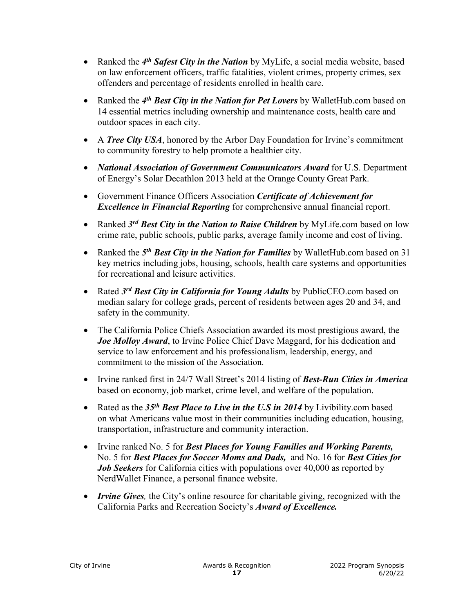- Ranked the *4th Safest City in the Nation* by MyLife, a social media website, based on law enforcement officers, traffic fatalities, violent crimes, property crimes, sex offenders and percentage of residents enrolled in health care.
- Ranked the *4th Best City in the Nation for Pet Lovers* by WalletHub.com based on 14 essential metrics including ownership and maintenance costs, health care and outdoor spaces in each city.
- A *Tree City USA*, honored by the Arbor Day Foundation for Irvine's commitment to community forestry to help promote a healthier city.
- *National Association of Government Communicators Award* for U.S. Department of Energy's Solar Decathlon 2013 held at the Orange County Great Park.
- Government Finance Officers Association *Certificate of Achievement for Excellence in Financial Reporting* for comprehensive annual financial report.
- Ranked *3rd Best City in the Nation to Raise Children* by MyLife.com based on low crime rate, public schools, public parks, average family income and cost of living.
- Ranked the *5th Best City in the Nation for Families* by WalletHub.com based on 31 key metrics including jobs, housing, schools, health care systems and opportunities for recreational and leisure activities.
- Rated *3rd Best City in California for Young Adults* by PublicCEO.com based on median salary for college grads, percent of residents between ages 20 and 34, and safety in the community.
- The California Police Chiefs Association awarded its most prestigious award, the *Joe Molloy Award*, to Irvine Police Chief Dave Maggard, for his dedication and service to law enforcement and his professionalism, leadership, energy, and commitment to the mission of the Association.
- Irvine ranked first in 24/7 Wall Street's 2014 listing of *Best-Run Cities in America* based on economy, job market, crime level, and welfare of the population.
- Rated as the *35th Best Place to Live in the U.S in 2014* by Livibility.com based on what Americans value most in their communities including education, housing, transportation, infrastructure and community interaction.
- Irvine ranked No. 5 for *Best Places for Young Families and Working Parents,*  No. 5 for *Best Places for Soccer Moms and Dads,* and No. 16 for *Best Cities for Job Seekers* for California cities with populations over 40,000 as reported by NerdWallet Finance, a personal finance website.
- *Irvine Gives*, the City's online resource for charitable giving, recognized with the California Parks and Recreation Society's *Award of Excellence.*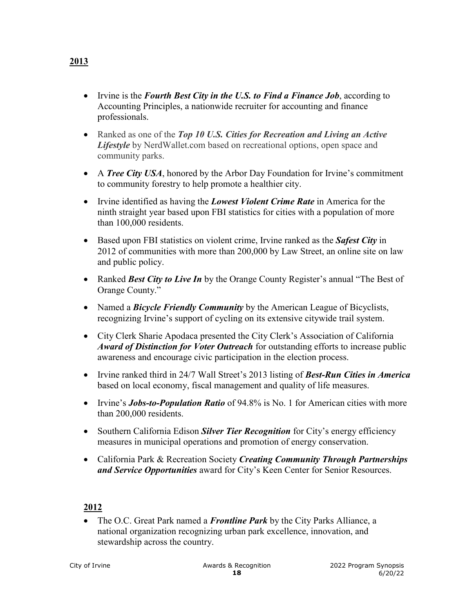- Irvine is the *Fourth Best City in the U.S. to Find a Finance Job*, according to Accounting Principles, a nationwide recruiter for accounting and finance professionals.
- Ranked as one of the *Top 10 U.S. Cities for Recreation and Living an Active Lifestyle* by NerdWallet.com based on recreational options, open space and community parks.
- A *Tree City USA*, honored by the Arbor Day Foundation for Irvine's commitment to community forestry to help promote a healthier city.
- Irvine identified as having the *Lowest Violent Crime Rate* in America for the ninth straight year based upon FBI statistics for cities with a population of more than 100,000 residents.
- Based upon FBI statistics on violent crime, Irvine ranked as the *Safest City* in 2012 of communities with more than 200,000 by Law Street, an online site on law and public policy.
- Ranked *Best City to Live In* by the Orange County Register's annual "The Best of Orange County."
- Named a *Bicycle Friendly Community* by the American League of Bicyclists, recognizing Irvine's support of cycling on its extensive citywide trail system.
- City Clerk Sharie Apodaca presented the City Clerk's Association of California *Award of Distinction for Voter Outreach* for outstanding efforts to increase public awareness and encourage civic participation in the election process.
- Irvine ranked third in 24/7 Wall Street's 2013 listing of *Best-Run Cities in America* based on local economy, fiscal management and quality of life measures.
- Irvine's *Jobs-to-Population Ratio* of 94.8% is No. 1 for American cities with more than 200,000 residents.
- Southern California Edison *Silver Tier Recognition* for City's energy efficiency measures in municipal operations and promotion of energy conservation.
- California Park & Recreation Society *Creating Community Through Partnerships and Service Opportunities* award for City's Keen Center for Senior Resources.

• The O.C. Great Park named a *Frontline Park* by the City Parks Alliance, a national organization recognizing urban park excellence, innovation, and stewardship across the country.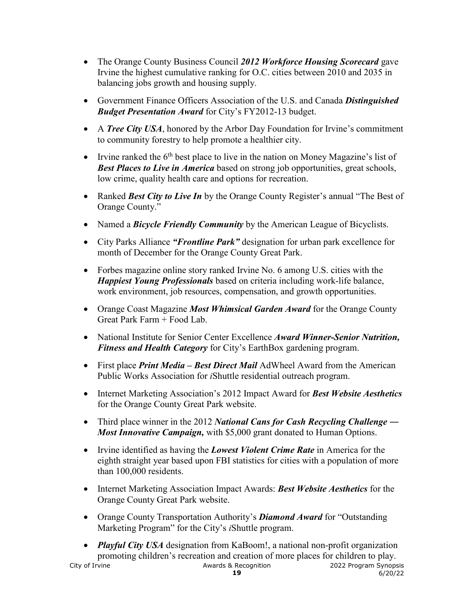- The Orange County Business Council *2012 Workforce Housing Scorecard* gave Irvine the highest cumulative ranking for O.C. cities between 2010 and 2035 in balancing jobs growth and housing supply.
- Government Finance Officers Association of the U.S. and Canada *Distinguished Budget Presentation Award* for City's FY2012-13 budget.
- A *Tree City USA*, honored by the Arbor Day Foundation for Irvine's commitment to community forestry to help promote a healthier city.
- Irvine ranked the  $6<sup>th</sup>$  best place to live in the nation on Money Magazine's list of *Best Places to Live in America* based on strong job opportunities, great schools, low crime, quality health care and options for recreation.
- Ranked *Best City to Live In* by the Orange County Register's annual "The Best of Orange County."
- Named a *Bicycle Friendly Community* by the American League of Bicyclists.
- City Parks Alliance *"Frontline Park"* designation for urban park excellence for month of December for the Orange County Great Park.
- Forbes magazine online story ranked Irvine No. 6 among U.S. cities with the *Happiest Young Professionals* based on criteria including work-life balance, work environment, job resources, compensation, and growth opportunities.
- Orange Coast Magazine *Most Whimsical Garden Award* for the Orange County Great Park Farm + Food Lab.
- National Institute for Senior Center Excellence *Award Winner-Senior Nutrition, Fitness and Health Category* for City's EarthBox gardening program.
- First place *Print Media Best Direct Mail* AdWheel Award from the American Public Works Association for *i*Shuttle residential outreach program.
- Internet Marketing Association's 2012 Impact Award for *Best Website Aesthetics* for the Orange County Great Park website.
- Third place winner in the 2012 *National Cans for Cash Recycling Challenge ― Most Innovative Campaign,* with \$5,000 grant donated to Human Options.
- Irvine identified as having the *Lowest Violent Crime Rate* in America for the eighth straight year based upon FBI statistics for cities with a population of more than 100,000 residents.
- Internet Marketing Association Impact Awards: *Best Website Aesthetics* for the Orange County Great Park website.
- Orange County Transportation Authority's *Diamond Award* for "Outstanding Marketing Program" for the City's *i*Shuttle program.
- City of Irvine City of Irvine City of Irvine City of Irvine City of Irvine City of Irvine City of Irvine City • *Playful City USA* designation from KaBoom!, a national non-profit organization promoting children's recreation and creation of more places for children to play.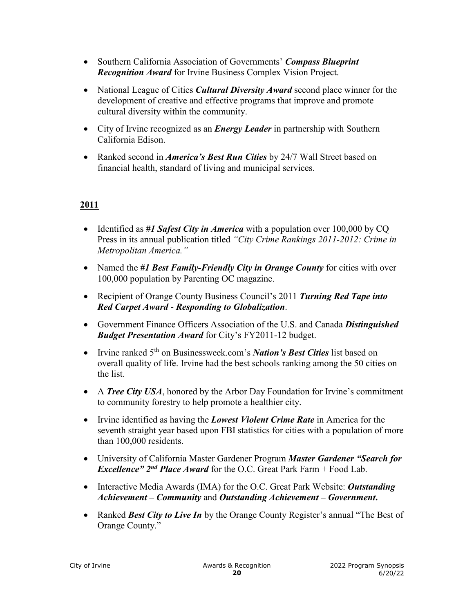- Southern California Association of Governments' *Compass Blueprint Recognition Award* for Irvine Business Complex Vision Project.
- National League of Cities *Cultural Diversity Award* second place winner for the development of creative and effective programs that improve and promote cultural diversity within the community.
- City of Irvine recognized as an *Energy Leader* in partnership with Southern California Edison.
- Ranked second in *America's Best Run Cities* by 24/7 Wall Street based on financial health, standard of living and municipal services.

- Identified as #1 Safest City in America with a population over 100,000 by CQ Press in its annual publication titled *"City Crime Rankings 2011-2012: Crime in Metropolitan America."*
- Named the *#1 Best Family-Friendly City in Orange County* for cities with over 100,000 population by Parenting OC magazine.
- Recipient of Orange County Business Council's 2011 *Turning Red Tape into Red Carpet Award* - *Responding to Globalization*.
- Government Finance Officers Association of the U.S. and Canada *Distinguished Budget Presentation Award* for City's FY2011-12 budget.
- Irvine ranked 5<sup>th</sup> on Businessweek.com's *Nation's Best Cities* list based on overall quality of life. Irvine had the best schools ranking among the 50 cities on the list.
- A *Tree City USA*, honored by the Arbor Day Foundation for Irvine's commitment to community forestry to help promote a healthier city.
- Irvine identified as having the *Lowest Violent Crime Rate* in America for the seventh straight year based upon FBI statistics for cities with a population of more than 100,000 residents.
- University of California Master Gardener Program *Master Gardener "Search for Excellence" 2nd Place Award* for the O.C. Great Park Farm + Food Lab.
- Interactive Media Awards (IMA) for the O.C. Great Park Website: *Outstanding Achievement – Community* and *Outstanding Achievement – Government***.**
- Ranked *Best City to Live In* by the Orange County Register's annual "The Best of Orange County."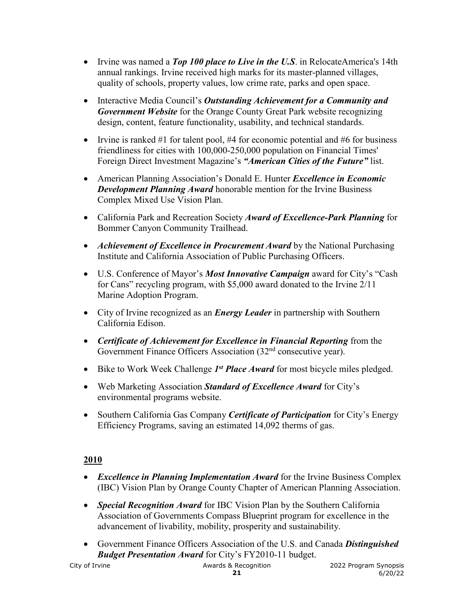- Irvine was named a *Top 100 place to Live in the U.S.* in RelocateAmerica's 14th annual rankings. Irvine received high marks for its master-planned villages, quality of schools, property values, low crime rate, parks and open space.
- Interactive Media Council's *Outstanding Achievement for a Community and Government Website* for the Orange County Great Park website recognizing design, content, feature functionality, usability, and technical standards.
- Irvine is ranked #1 for talent pool, #4 for economic potential and #6 for business friendliness for cities with 100,000-250,000 population on Financial Times' Foreign Direct Investment Magazine's *"American Cities of the Future"* list.
- American Planning Association's Donald E. Hunter *Excellence in Economic Development Planning Award* honorable mention for the Irvine Business Complex Mixed Use Vision Plan.
- California Park and Recreation Society *Award of Excellence-Park Planning* for Bommer Canyon Community Trailhead.
- *Achievement of Excellence in Procurement Award* by the National Purchasing Institute and California Association of Public Purchasing Officers.
- U.S. Conference of Mayor's *Most Innovative Campaign* award for City's "Cash for Cans" recycling program, with \$5,000 award donated to the Irvine 2/11 Marine Adoption Program.
- City of Irvine recognized as an *Energy Leader* in partnership with Southern California Edison.
- *Certificate of Achievement for Excellence in Financial Reporting* from the Government Finance Officers Association (32<sup>nd</sup> consecutive year).
- Bike to Work Week Challenge *1<sup>st</sup> Place Award* for most bicycle miles pledged.
- Web Marketing Association *Standard of Excellence Award* for City's environmental programs website.
- Southern California Gas Company *Certificate of Participation* for City's Energy Efficiency Programs, saving an estimated 14,092 therms of gas.

- *Excellence in Planning Implementation Award* for the Irvine Business Complex (IBC) Vision Plan by Orange County Chapter of American Planning Association.
- *Special Recognition Award* for IBC Vision Plan by the Southern California Association of Governments Compass Blueprint program for excellence in the advancement of livability, mobility, prosperity and sustainability.
- Government Finance Officers Association of the U.S. and Canada *Distinguished Budget Presentation Award* for City's FY2010-11 budget.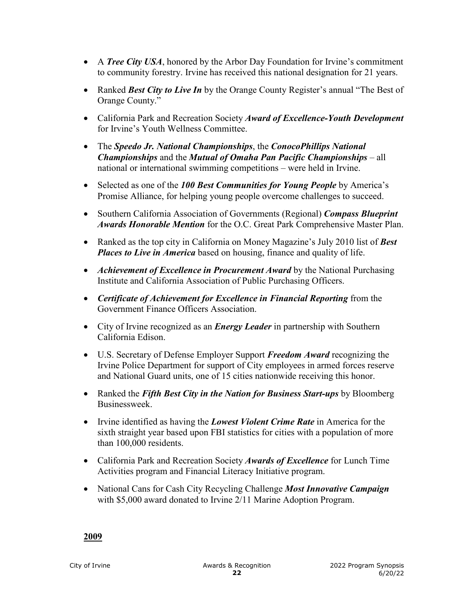- A *Tree City USA*, honored by the Arbor Day Foundation for Irvine's commitment to community forestry. Irvine has received this national designation for 21 years.
- Ranked *Best City to Live In* by the Orange County Register's annual "The Best of Orange County."
- California Park and Recreation Society *Award of Excellence-Youth Development* for Irvine's Youth Wellness Committee.
- The *Speedo Jr. National Championships*, the *ConocoPhillips National Championships* and the *Mutual of Omaha Pan Pacific Championships* – all national or international swimming competitions – were held in Irvine.
- Selected as one of the *100 Best Communities for Young People* by America's Promise Alliance, for helping young people overcome challenges to succeed.
- Southern California Association of Governments (Regional) *Compass Blueprint Awards Honorable Mention* for the O.C. Great Park Comprehensive Master Plan.
- Ranked as the top city in California on Money Magazine's July 2010 list of *Best Places to Live in America* based on housing, finance and quality of life.
- *Achievement of Excellence in Procurement Award* by the National Purchasing Institute and California Association of Public Purchasing Officers.
- *Certificate of Achievement for Excellence in Financial Reporting* from the Government Finance Officers Association.
- City of Irvine recognized as an *Energy Leader* in partnership with Southern California Edison.
- U.S. Secretary of Defense Employer Support *Freedom Award* recognizing the Irvine Police Department for support of City employees in armed forces reserve and National Guard units, one of 15 cities nationwide receiving this honor.
- Ranked the *Fifth Best City in the Nation for Business Start-ups* by Bloomberg Businessweek.
- Irvine identified as having the *Lowest Violent Crime Rate* in America for the sixth straight year based upon FBI statistics for cities with a population of more than 100,000 residents.
- California Park and Recreation Society *Awards of Excellence* for Lunch Time Activities program and Financial Literacy Initiative program.
- National Cans for Cash City Recycling Challenge *Most Innovative Campaign* with \$5,000 award donated to Irvine 2/11 Marine Adoption Program.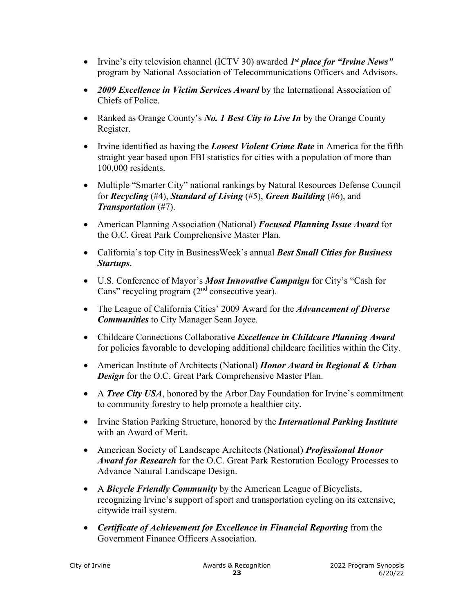- Irvine's city television channel (ICTV 30) awarded *1st place for "Irvine News"* program by National Association of Telecommunications Officers and Advisors.
- *2009 Excellence in Victim Services Award* by the International Association of Chiefs of Police.
- Ranked as Orange County's *No. 1 Best City to Live In* by the Orange County Register.
- Irvine identified as having the *Lowest Violent Crime Rate* in America for the fifth straight year based upon FBI statistics for cities with a population of more than 100,000 residents.
- Multiple "Smarter City" national rankings by Natural Resources Defense Council for *Recycling* (#4), *Standard of Living* (#5), *Green Building* (#6), and *Transportation* (#7).
- American Planning Association (National) *Focused Planning Issue Award* for the O.C. Great Park Comprehensive Master Plan*.*
- California's top City in BusinessWeek's annual *Best Small Cities for Business Startups*.
- U.S. Conference of Mayor's *Most Innovative Campaign* for City's "Cash for Cans" recycling program  $(2<sup>nd</sup>$  consecutive year).
- The League of California Cities' 2009 Award for the *Advancement of Diverse Communities* to City Manager Sean Joyce.
- Childcare Connections Collaborative *Excellence in Childcare Planning Award* for policies favorable to developing additional childcare facilities within the City.
- American Institute of Architects (National) *Honor Award in Regional & Urban Design* for the O.C. Great Park Comprehensive Master Plan.
- A *Tree City USA*, honored by the Arbor Day Foundation for Irvine's commitment to community forestry to help promote a healthier city.
- Irvine Station Parking Structure, honored by the *International Parking Institute* with an Award of Merit.
- American Society of Landscape Architects (National) *Professional Honor Award for Research* for the O.C. Great Park Restoration Ecology Processes to Advance Natural Landscape Design.
- A *Bicycle Friendly Community* by the American League of Bicyclists, recognizing Irvine's support of sport and transportation cycling on its extensive, citywide trail system.
- *Certificate of Achievement for Excellence in Financial Reporting* from the Government Finance Officers Association.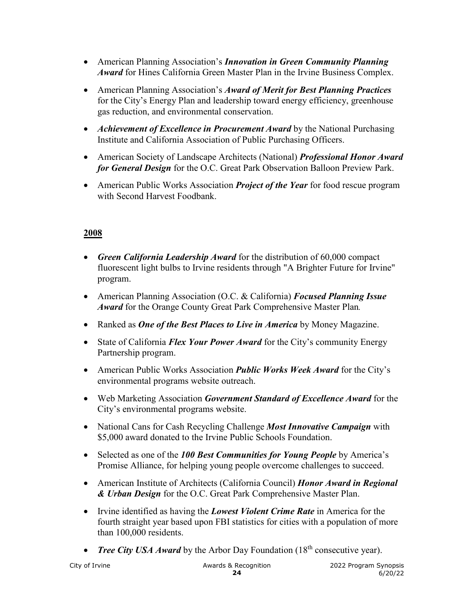- American Planning Association's *Innovation in Green Community Planning Award* for Hines California Green Master Plan in the Irvine Business Complex.
- American Planning Association's *Award of Merit for Best Planning Practices* for the City's Energy Plan and leadership toward energy efficiency, greenhouse gas reduction, and environmental conservation.
- *Achievement of Excellence in Procurement Award* by the National Purchasing Institute and California Association of Public Purchasing Officers.
- American Society of Landscape Architects (National) *Professional Honor Award for General Design* for the O.C. Great Park Observation Balloon Preview Park.
- American Public Works Association *Project of the Year* for food rescue program with Second Harvest Foodbank.

- *Green California Leadership Award* for the distribution of 60,000 compact fluorescent light bulbs to Irvine residents through "A Brighter Future for Irvine" program.
- American Planning Association (O.C. & California) *Focused Planning Issue Award* for the Orange County Great Park Comprehensive Master Plan*.*
- Ranked as *One of the Best Places to Live in America* by Money Magazine.
- State of California *Flex Your Power Award* for the City's community Energy Partnership program.
- American Public Works Association *Public Works Week Award* for the City's environmental programs website outreach.
- Web Marketing Association *Government Standard of Excellence Award* for the City's environmental programs website.
- National Cans for Cash Recycling Challenge *Most Innovative Campaign* with \$5,000 award donated to the Irvine Public Schools Foundation.
- Selected as one of the *100 Best Communities for Young People* by America's Promise Alliance, for helping young people overcome challenges to succeed.
- American Institute of Architects (California Council) *Honor Award in Regional & Urban Design* for the O.C. Great Park Comprehensive Master Plan.
- Irvine identified as having the *Lowest Violent Crime Rate* in America for the fourth straight year based upon FBI statistics for cities with a population of more than 100,000 residents.
- *Tree City USA Award* by the Arbor Day Foundation (18<sup>th</sup> consecutive year).